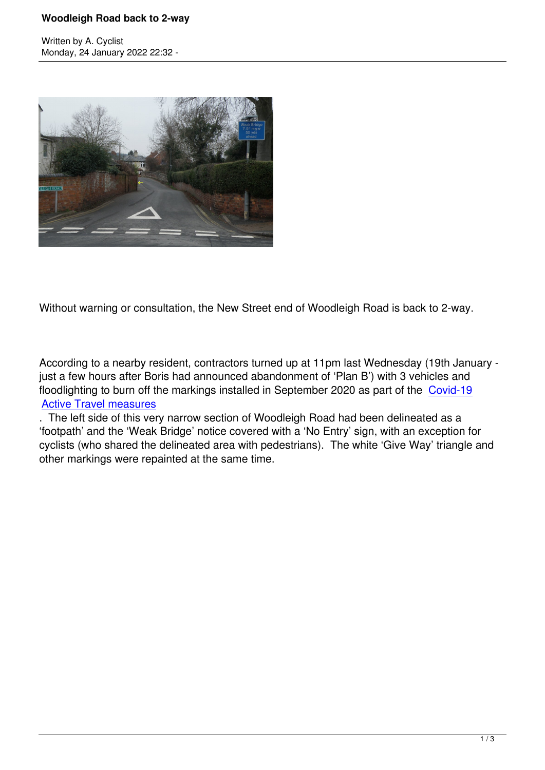

Without warning or consultation, the New Street end of Woodleigh Road is back to 2-way.

According to a nearby resident, contractors turned up at 11pm last Wednesday (19th January just a few hours after Boris had announced abandonment of 'Plan B') with 3 vehicles and floodlighting to burn off the markings installed in September 2020 as part of the Covid-19 Active Travel measures

. The left side of this very narrow section of Woodleigh Road had been delineated as a 'footpath' and the 'Weak Bridge' notice covered with a 'No Entry' sign, with an e[xception fo](index.php?option=com_content&view=article&id=6013)r [cyclists \(who shared the](index.php?option=com_content&view=article&id=6013) delineated area with pedestrians). The white 'Give Way' triangle and other markings were repainted at the same time.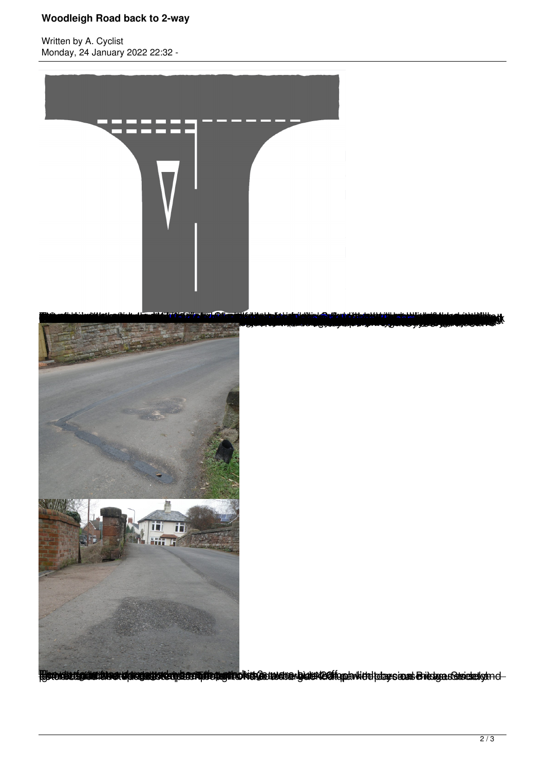Written by A. Cyclisters and the A. Cyclisters and the A. Cyclisters and the A. Cyclisters and the A. Cyclisters and the A. Cyclisters and the A. Cyclisters and the A. Cyclisters and the A. Cyclisters and the A. Cyclisters Monday, 24 January 2022 22:32 -